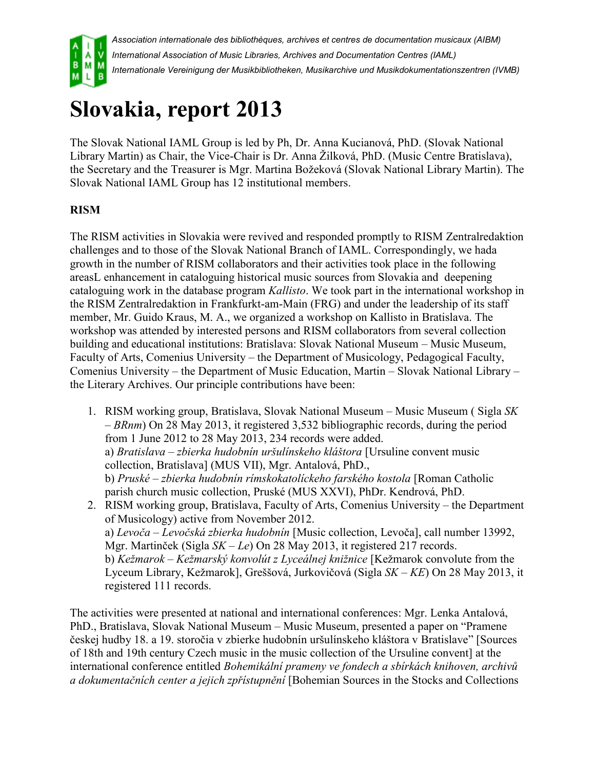

*Association internationale des bibliothèques, archives et centres de documentation musicaux (AIBM) International Association of Music Libraries, Archives and Documentation Centres (IAML) Internationale Vereinigung der Musikbibliotheken, Musikarchive und Musikdokumentationszentren (IVMB)*

# **Slovakia, report 2013**

The Slovak National IAML Group is led by Ph, Dr. Anna Kucianová, PhD. (Slovak National Library Martin) as Chair, the Vice-Chair is Dr. Anna Žilková, PhD. (Music Centre Bratislava), the Secretary and the Treasurer is Mgr. Martina Božeková (Slovak National Library Martin). The Slovak National IAML Group has 12 institutional members.

## **RISM**

The RISM activities in Slovakia were revived and responded promptly to RISM Zentralredaktion challenges and to those of the Slovak National Branch of IAML. Correspondingly, we hada growth in the number of RISM collaborators and their activities took place in the following areasL enhancement in cataloguing historical music sources from Slovakia and deepening cataloguing work in the database program *Kallisto*. We took part in the international workshop in the RISM Zentralredaktion in Frankfurkt-am-Main (FRG) and under the leadership of its staff member, Mr. Guido Kraus, M. A., we organized a workshop on Kallisto in Bratislava. The workshop was attended by interested persons and RISM collaborators from several collection building and educational institutions: Bratislava: Slovak National Museum – Music Museum, Faculty of Arts, Comenius University – the Department of Musicology, Pedagogical Faculty, Comenius University – the Department of Music Education, Martin – Slovak National Library – the Literary Archives. Our principle contributions have been:

- 1. RISM working group, Bratislava, Slovak National Museum Music Museum ( Sigla *SK – BRnm*) On 28 May 2013, it registered 3,532 bibliographic records, during the period from 1 June 2012 to 28 May 2013, 234 records were added. a) *Bratislava – zbierka hudobnín uršulínskeho kláštora* [Ursuline convent music collection, Bratislava] (MUS VII), Mgr. Antalová, PhD., b) *Pruské – zbierka hudobnín rímskokatolíckeho farského kostola* [Roman Catholic parish church music collection, Pruské (MUS XXVI), PhDr. Kendrová, PhD.
- 2. RISM working group, Bratislava, Faculty of Arts, Comenius University the Department of Musicology) active from November 2012. a) *Levoča – Levočská zbierka hudobnín* [Music collection, Levoča], call number 13992, Mgr. Martinček (Sigla *SK – Le*) On 28 May 2013, it registered 217 records. b) *Kežmarok – Kežmarský konvolút z Lyceálnej knižnice* [Kežmarok convolute from the Lyceum Library, Kežmarok], Greššová, Jurkovičová (Sigla *SK – KE*) On 28 May 2013, it registered 111 records.

The activities were presented at national and international conferences: Mgr. Lenka Antalová, PhD., Bratislava, Slovak National Museum – Music Museum, presented a paper on "Pramene českej hudby 18. a 19. storočia v zbierke hudobnín uršulínskeho kláštora v Bratislave" [Sources of 18th and 19th century Czech music in the music collection of the Ursuline convent] at the international conference entitled *Bohemikální prameny ve fondech a sbírkách knihoven, archivů a dokumentačních center a jejich zpřístupnění* [Bohemian Sources in the Stocks and Collections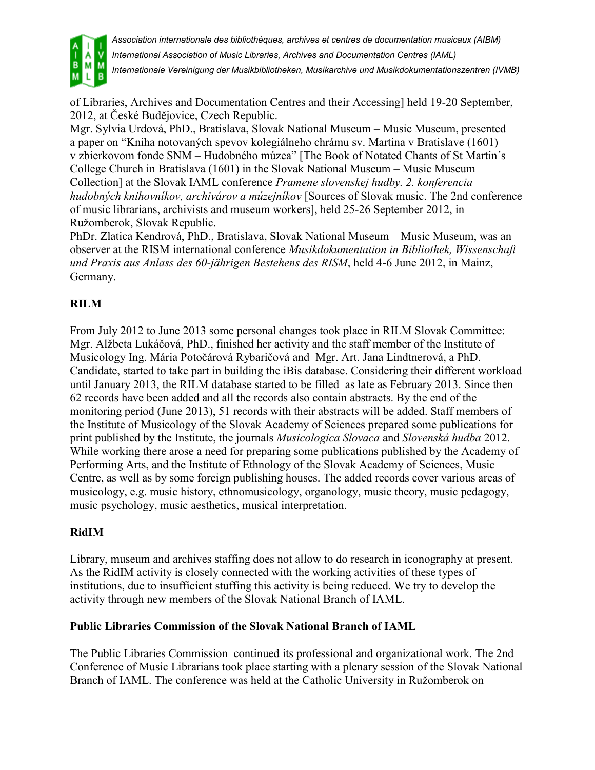

*Association internationale des bibliothèques, archives et centres de documentation musicaux (AIBM)*

*International Association of Music Libraries, Archives and Documentation Centres (IAML)*

*Internationale Vereinigung der Musikbibliotheken, Musikarchive und Musikdokumentationszentren (IVMB)*

of Libraries, Archives and Documentation Centres and their Accessing] held 19-20 September, 2012, at České Budějovice, Czech Republic.

Mgr. Sylvia Urdová, PhD., Bratislava, Slovak National Museum – Music Museum, presented a paper on "Kniha notovaných spevov kolegiálneho chrámu sv. Martina v Bratislave (1601) v zbierkovom fonde SNM – Hudobného múzea" [The Book of Notated Chants of St Martin´s College Church in Bratislava (1601) in the Slovak National Museum – Music Museum Collection] at the Slovak IAML conference *Pramene slovenskej hudby. 2. konferencia hudobných knihovníkov, archivárov a múzejníkov* [Sources of Slovak music. The 2nd conference of music librarians, archivists and museum workers], held 25-26 September 2012, in Ružomberok, Slovak Republic.

PhDr. Zlatica Kendrová, PhD., Bratislava, Slovak National Museum – Music Museum, was an observer at the RISM international conference *Musikdokumentation in Bibliothek, Wissenschaft und Praxis aus Anlass des 60-jährigen Bestehens des RISM*, held 4-6 June 2012, in Mainz, Germany.

#### **RILM**

From July 2012 to June 2013 some personal changes took place in RILM Slovak Committee: Mgr. Alžbeta Lukáčová, PhD., finished her activity and the staff member of the Institute of Musicology Ing. Mária Potočárová Rybaričová and Mgr. Art. Jana Lindtnerová, a PhD. Candidate, started to take part in building the iBis database. Considering their different workload until January 2013, the RILM database started to be filled as late as February 2013. Since then 62 records have been added and all the records also contain abstracts. By the end of the monitoring period (June 2013), 51 records with their abstracts will be added. Staff members of the Institute of Musicology of the Slovak Academy of Sciences prepared some publications for print published by the Institute, the journals *Musicologica Slovaca* and *Slovenská hudba* 2012. While working there arose a need for preparing some publications published by the Academy of Performing Arts, and the Institute of Ethnology of the Slovak Academy of Sciences, Music Centre, as well as by some foreign publishing houses. The added records cover various areas of musicology, e.g. music history, ethnomusicology, organology, music theory, music pedagogy, music psychology, music aesthetics, musical interpretation.

#### **RidIM**

Library, museum and archives staffing does not allow to do research in iconography at present. As the RidIM activity is closely connected with the working activities of these types of institutions, due to insufficient stuffing this activity is being reduced. We try to develop the activity through new members of the Slovak National Branch of IAML.

#### **Public Libraries Commission of the Slovak National Branch of IAML**

The Public Libraries Commission continued its professional and organizational work. The 2nd Conference of Music Librarians took place starting with a plenary session of the Slovak National Branch of IAML. The conference was held at the Catholic University in Ružomberok on